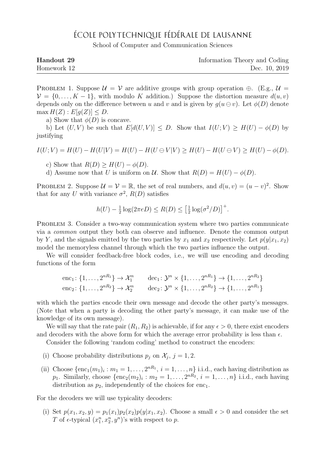## ÉCOLE POLYTECHNIQUE FÉDÉRALE DE LAUSANNE

School of Computer and Communication Sciences

| Handout 29  | Information Theory and Coding |
|-------------|-------------------------------|
| Homework 12 | Dec. 10, 2019                 |

PROBLEM 1. Suppose  $\mathcal{U} = \mathcal{V}$  are additive groups with group operation  $\oplus$ . (E.g.,  $\mathcal{U} =$  $V = \{0, \ldots, K-1\}$ , with modulo K addition.) Suppose the distortion measure  $d(u, v)$ depends only on the difference between u and v and is given by  $g(u \ominus v)$ . Let  $\phi(D)$  denote  $\max H(Z)$ :  $E[q(Z)] < D$ .

a) Show that  $\phi(D)$  is concave.

b) Let  $(U, V)$  be such that  $E[d(U, V)] \leq D$ . Show that  $I(U; V) \geq H(U) - \phi(D)$  by justifying

$$
I(U;V) = H(U) - H(U|V) = H(U) - H(U \oplus V|V) \ge H(U) - H(U \oplus V) \ge H(U) - \phi(D).
$$

c) Show that  $R(D) \geq H(U) - \phi(D)$ .

d) Assume now that U is uniform on U. Show that  $R(D) = H(U) - \phi(D)$ .

PROBLEM 2. Suppose  $\mathcal{U} = \mathcal{V} = \mathbb{R}$ , the set of real numbers, and  $d(u, v) = (u - v)^2$ . Show that for any U with variance  $\sigma^2$ ,  $R(D)$  satisfies

$$
h(U) - \frac{1}{2}\log(2\pi eD) \le R(D) \le \left[\frac{1}{2}\log(\sigma^2/D)\right]^+.
$$

PROBLEM 3. Consider a two-way communication system where two parties communicate via a common output they both can observe and influence. Denote the common output by Y, and the signals emitted by the two parties by  $x_1$  and  $x_2$  respectively. Let  $p(y|x_1, x_2)$ model the memoryless channel through which the two parties influence the output.

We will consider feedback-free block codes, i.e., we will use encoding and decoding functions of the form

enc<sub>1</sub>: 
$$
\{1, ..., 2^{nR_1}\}\rightarrow \mathcal{X}_1^n
$$
 dec<sub>1</sub>:  $\mathcal{Y}^n \times \{1, ..., 2^{nR_1}\}\rightarrow \{1, ..., 2^{nR_2}\}$   
enc<sub>2</sub>:  $\{1, ..., 2^{nR_2}\}\rightarrow \mathcal{X}_2^n$  dec<sub>2</sub>:  $\mathcal{Y}^n \times \{1, ..., 2^{nR_2}\}\rightarrow \{1, ..., 2^{nR_1}\}$ 

with which the parties encode their own message and decode the other party's messages. (Note that when a party is decoding the other party's message, it can make use of the knowledge of its own message).

We will say that the rate pair  $(R_1, R_2)$  is achievable, if for any  $\epsilon > 0$ , there exist encoders and decoders with the above form for which the average error probability is less than  $\epsilon$ .

Consider the following 'random coding' method to construct the encoders:

- (i) Choose probability distributions  $p_j$  on  $\mathcal{X}_j$ ,  $j = 1, 2$ .
- (ii) Choose  $\{\text{enc}_1(m_1)_i : m_1 = 1, \ldots, 2^{nR_1}, i = 1, \ldots, n\}$  i.i.d., each having distribution as  $p_1$ . Similarly, choose  $\{\text{enc}_2(m_2)_i : m_2 = 1, \ldots, 2^{nR_2}, i = 1, \ldots, n\}$  i.i.d., each having distribution as  $p_2$ , independently of the choices for enc<sub>1</sub>.

For the decoders we will use typicality decoders:

(i) Set  $p(x_1, x_2, y) = p_1(x_1)p_2(x_2)p(y|x_1, x_2)$ . Choose a small  $\epsilon > 0$  and consider the set T of  $\epsilon$ -typical  $(x_1^n, x_2^n, y^n)$ 's with respect to p.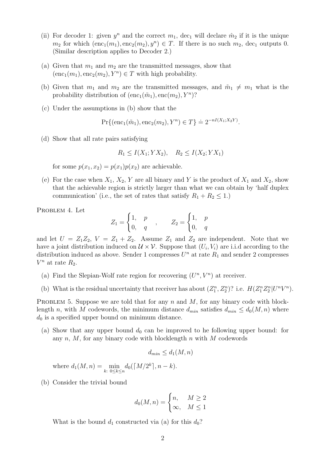- (ii) For decoder 1: given  $y^n$  and the correct  $m_1$ , dec<sub>1</sub> will declare  $\hat{m}_2$  if it is the unique  $m_2$  for which  $(enc_1(m_1), enc_2(m_2), y^n) \in T$ . If there is no such  $m_2$ , dec<sub>1</sub> outputs 0. (Similar description applies to Decoder 2.)
- (a) Given that  $m_1$  and  $m_2$  are the transmitted messages, show that  $(enc_1(m_1), enc_2(m_2), Y^n) \in T$  with high probability.
- (b) Given that  $m_1$  and  $m_2$  are the transmitted messages, and  $\tilde{m}_1 \neq m_1$  what is the probability distribution of  $(\text{enc}_1(\tilde{m}_1), \text{enc}(m_2), Y^n)$ ?
- (c) Under the assumptions in (b) show that the

$$
\Pr\{(\text{enc}_1(\tilde{m}_1), \text{enc}_2(m_2), Y^n) \in T\} \doteq 2^{-nI(X_1; X_2 Y)}.
$$

(d) Show that all rate pairs satisfying

$$
R_1 \le I(X_1; YX_2), \quad R_2 \le I(X_2; YX_1)
$$

for some  $p(x_1, x_2) = p(x_1)p(x_2)$  are achievable.

(e) For the case when  $X_1, X_2, Y$  are all binary and Y is the product of  $X_1$  and  $X_2$ , show that the achievable region is strictly larger than what we can obtain by 'half duplex communication' (i.e., the set of rates that satisfy  $R_1 + R_2 \leq 1$ .)

PROBLEM 4. Let

$$
Z_1 = \begin{cases} 1, & p \\ 0, & q \end{cases}, \qquad Z_2 = \begin{cases} 1, & p \\ 0, & q \end{cases}
$$

and let  $U = Z_1 Z_2$ ,  $V = Z_1 + Z_2$ . Assume  $Z_1$  and  $Z_2$  are independent. Note that we have a joint distribution induced on  $\mathcal{U} \times \mathcal{V}$ . Suppose that  $(U_i, V_i)$  are i.i.d according to the distribution induced as above. Sender 1 compresses  $U<sup>n</sup>$  at rate  $R<sub>1</sub>$  and sender 2 compresses  $V^n$  at rate  $R_2$ .

- (a) Find the Slepian-Wolf rate region for recovering  $(U<sup>n</sup>, V<sup>n</sup>)$  at receiver.
- (b) What is the residual uncertainty that receiver has about  $(Z_1^n, Z_2^n)$ ? i.e.  $H(Z_1^n Z_2^n | U^n V^n)$ .

PROBLEM 5. Suppose we are told that for any n and  $M$ , for any binary code with blocklength n, with M codewords, the minimum distance  $d_{min}$  satisfies  $d_{min} \leq d_0(M, n)$  where  $d_0$  is a specified upper bound on minimum distance.

(a) Show that any upper bound  $d_0$  can be improved to he following upper bound: for any  $n, M$ , for any binary code with blocklength  $n$  with  $M$  codewords

$$
d_{min} \le d_1(M, n)
$$

where  $d_1(M, n) = \min_{k: 0 \le k \le n} d_0(\lceil M/2^k \rceil, n - k).$ 

(b) Consider the trivial bound

$$
d_0(M, n) = \begin{cases} n, & M \ge 2\\ \infty, & M \le 1 \end{cases}
$$

What is the bound  $d_1$  constructed via (a) for this  $d_0$ ?